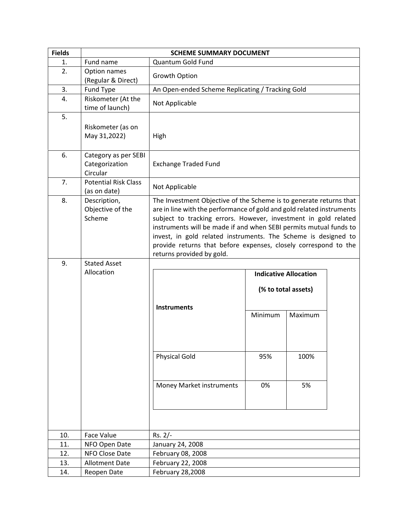| <b>Fields</b> | <b>SCHEME SUMMARY DOCUMENT</b>                     |                                                                                                                                                                                                                                                                                                                                                                                                                                                       |                     |         |  |  |
|---------------|----------------------------------------------------|-------------------------------------------------------------------------------------------------------------------------------------------------------------------------------------------------------------------------------------------------------------------------------------------------------------------------------------------------------------------------------------------------------------------------------------------------------|---------------------|---------|--|--|
| 1.            | Fund name                                          | Quantum Gold Fund                                                                                                                                                                                                                                                                                                                                                                                                                                     |                     |         |  |  |
| 2.            | Option names<br>(Regular & Direct)                 | Growth Option                                                                                                                                                                                                                                                                                                                                                                                                                                         |                     |         |  |  |
| 3.            | Fund Type                                          | An Open-ended Scheme Replicating / Tracking Gold                                                                                                                                                                                                                                                                                                                                                                                                      |                     |         |  |  |
| 4.            | Riskometer (At the<br>time of launch)              | Not Applicable                                                                                                                                                                                                                                                                                                                                                                                                                                        |                     |         |  |  |
| 5.            | Riskometer (as on<br>May 31,2022)                  | High                                                                                                                                                                                                                                                                                                                                                                                                                                                  |                     |         |  |  |
| 6.            | Category as per SEBI<br>Categorization<br>Circular | <b>Exchange Traded Fund</b>                                                                                                                                                                                                                                                                                                                                                                                                                           |                     |         |  |  |
| 7.            | <b>Potential Risk Class</b><br>(as on date)        | Not Applicable                                                                                                                                                                                                                                                                                                                                                                                                                                        |                     |         |  |  |
| 8.            | Description,<br>Objective of the<br>Scheme         | The Investment Objective of the Scheme is to generate returns that<br>are in line with the performance of gold and gold related instruments<br>subject to tracking errors. However, investment in gold related<br>instruments will be made if and when SEBI permits mutual funds to<br>invest, in gold related instruments. The Scheme is designed to<br>provide returns that before expenses, closely correspond to the<br>returns provided by gold. |                     |         |  |  |
| 9.            | <b>Stated Asset</b>                                |                                                                                                                                                                                                                                                                                                                                                                                                                                                       |                     |         |  |  |
|               | Allocation                                         | <b>Indicative Allocation</b>                                                                                                                                                                                                                                                                                                                                                                                                                          |                     |         |  |  |
|               |                                                    |                                                                                                                                                                                                                                                                                                                                                                                                                                                       | (% to total assets) |         |  |  |
|               |                                                    | <b>Instruments</b>                                                                                                                                                                                                                                                                                                                                                                                                                                    | Minimum             | Maximum |  |  |
|               |                                                    |                                                                                                                                                                                                                                                                                                                                                                                                                                                       |                     |         |  |  |
|               |                                                    | <b>Physical Gold</b>                                                                                                                                                                                                                                                                                                                                                                                                                                  | 95%                 | 100%    |  |  |
|               |                                                    | <b>Money Market instruments</b>                                                                                                                                                                                                                                                                                                                                                                                                                       | 0%                  | 5%      |  |  |
|               |                                                    |                                                                                                                                                                                                                                                                                                                                                                                                                                                       |                     |         |  |  |
| 10.           | Face Value                                         | $Rs. 2/-$                                                                                                                                                                                                                                                                                                                                                                                                                                             |                     |         |  |  |
| 11.           | NFO Open Date                                      | January 24, 2008                                                                                                                                                                                                                                                                                                                                                                                                                                      |                     |         |  |  |
| 12.           | NFO Close Date                                     | February 08, 2008                                                                                                                                                                                                                                                                                                                                                                                                                                     |                     |         |  |  |
| 13.           | <b>Allotment Date</b>                              | February 22, 2008                                                                                                                                                                                                                                                                                                                                                                                                                                     |                     |         |  |  |
| 14.           | Reopen Date                                        | February 28,2008                                                                                                                                                                                                                                                                                                                                                                                                                                      |                     |         |  |  |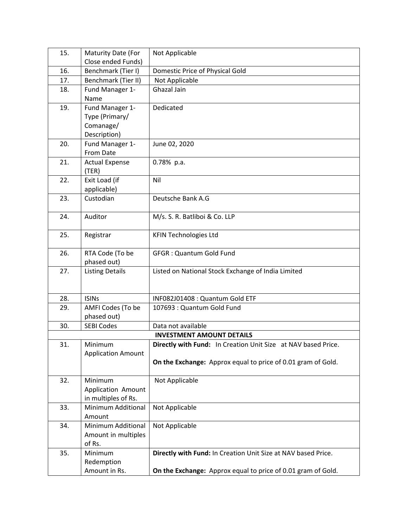| 15.                              | Maturity Date (For          | Not Applicable                                                |  |  |
|----------------------------------|-----------------------------|---------------------------------------------------------------|--|--|
|                                  | Close ended Funds)          |                                                               |  |  |
| 16.                              | Benchmark (Tier I)          | Domestic Price of Physical Gold                               |  |  |
| 17.                              | Benchmark (Tier II)         | Not Applicable                                                |  |  |
| 18.                              | Fund Manager 1-             | Ghazal Jain                                                   |  |  |
|                                  | Name                        |                                                               |  |  |
| 19.                              | Fund Manager 1-             | Dedicated                                                     |  |  |
|                                  | Type (Primary/              |                                                               |  |  |
|                                  | Comanage/                   |                                                               |  |  |
|                                  | Description)                |                                                               |  |  |
| 20.                              | Fund Manager 1-             | June 02, 2020                                                 |  |  |
|                                  | From Date                   |                                                               |  |  |
| 21.                              | <b>Actual Expense</b>       | 0.78% p.a.                                                    |  |  |
| 22.                              | (TER)<br>Exit Load (if      |                                                               |  |  |
|                                  | applicable)                 | Nil                                                           |  |  |
| 23.                              | Custodian                   | Deutsche Bank A.G                                             |  |  |
|                                  |                             |                                                               |  |  |
| 24.                              | Auditor                     | M/s. S. R. Batliboi & Co. LLP                                 |  |  |
|                                  |                             |                                                               |  |  |
| 25.                              | Registrar                   | <b>KFIN Technologies Ltd</b>                                  |  |  |
|                                  |                             |                                                               |  |  |
| 26.                              | RTA Code (To be             | <b>GFGR: Quantum Gold Fund</b>                                |  |  |
|                                  | phased out)                 |                                                               |  |  |
| 27.                              | <b>Listing Details</b>      | Listed on National Stock Exchange of India Limited            |  |  |
|                                  |                             |                                                               |  |  |
| 28.                              | <b>ISINS</b>                | INF082J01408 : Quantum Gold ETF                               |  |  |
| 29.                              | AMFI Codes (To be           | 107693 : Quantum Gold Fund                                    |  |  |
|                                  | phased out)                 |                                                               |  |  |
| 30.                              | <b>SEBI Codes</b>           | Data not available                                            |  |  |
| <b>INVESTMENT AMOUNT DETAILS</b> |                             |                                                               |  |  |
| 31.                              | Minimum                     | Directly with Fund: In Creation Unit Size at NAV based Price. |  |  |
|                                  | <b>Application Amount</b>   |                                                               |  |  |
|                                  |                             | On the Exchange: Approx equal to price of 0.01 gram of Gold.  |  |  |
|                                  |                             |                                                               |  |  |
| 32.                              | Minimum                     | Not Applicable                                                |  |  |
|                                  | Application Amount          |                                                               |  |  |
|                                  | in multiples of Rs.         |                                                               |  |  |
| 33.                              | Minimum Additional          | Not Applicable                                                |  |  |
|                                  | Amount                      |                                                               |  |  |
| 34.                              | Minimum Additional          | Not Applicable                                                |  |  |
|                                  | Amount in multiples         |                                                               |  |  |
|                                  | of Rs.                      |                                                               |  |  |
| 35.                              | Minimum                     | Directly with Fund: In Creation Unit Size at NAV based Price. |  |  |
|                                  | Redemption<br>Amount in Rs. | On the Exchange: Approx equal to price of 0.01 gram of Gold.  |  |  |
|                                  |                             |                                                               |  |  |